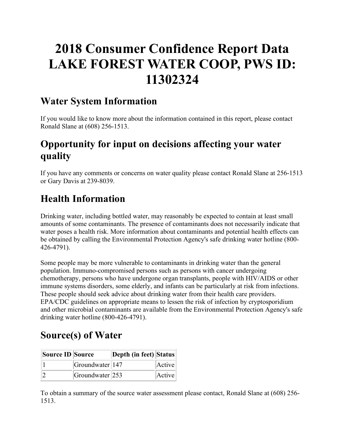# **2018 Consumer Confidence Report Data LAKE FOREST WATER COOP, PWS ID: 11302324**

### **Water System Information**

If you would like to know more about the information contained in this report, please contact Ronald Slane at (608) 256-1513.

# **Opportunity for input on decisions affecting your water quality**

If you have any comments or concerns on water quality please contact Ronald Slane at 256-1513 or Gary Davis at 239-8039.

# **Health Information**

Drinking water, including bottled water, may reasonably be expected to contain at least small amounts of some contaminants. The presence of contaminants does not necessarily indicate that water poses a health risk. More information about contaminants and potential health effects can be obtained by calling the Environmental Protection Agency's safe drinking water hotline (800- 426-4791).

Some people may be more vulnerable to contaminants in drinking water than the general population. Immuno-compromised persons such as persons with cancer undergoing chemotherapy, persons who have undergone organ transplants, people with HIV/AIDS or other immune systems disorders, some elderly, and infants can be particularly at risk from infections. These people should seek advice about drinking water from their health care providers. EPA/CDC guidelines on appropriate means to lessen the risk of infection by cryptosporidium and other microbial contaminants are available from the Environmental Protection Agency's safe drinking water hotline (800-426-4791).

# **Source(s) of Water**

| Source ID Source |                        | Depth (in feet) Status |        |
|------------------|------------------------|------------------------|--------|
|                  | $ G$ roundwater $ 147$ |                        | Active |
|                  | Groundwater 253        |                        | Active |

To obtain a summary of the source water assessment please contact, Ronald Slane at (608) 256- 1513.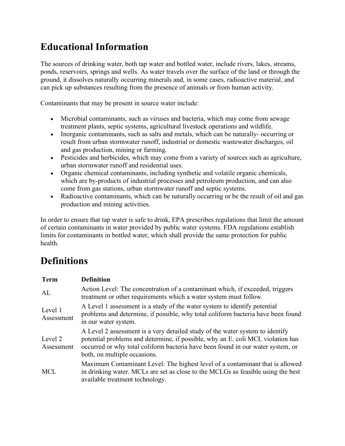# **Educational Information**

The sources of drinking water, both tap water and bottled water, include rivers, lakes, streams, ponds, reservoirs, springs and wells. As water travels over the surface of the land or through the ground, it dissolves naturally occurring minerals and, in some cases, radioactive material, and can pick up substances resulting from the presence of animals or from human activity.

Contaminants that may be present in source water include:

- Microbial contaminants, such as viruses and bacteria, which may come from sewage treatment plants, septic systems, agricultural livestock operations and wildlife.
- Inorganic contaminants, such as salts and metals, which can be naturally-occurring or result from urban stormwater runoff, industrial or domestic wastewater discharges, oil and gas production, mining or farming.
- Pesticides and herbicides, which may come from a variety of sources such as agriculture, urban stormwater runoff and residential uses.
- Organic chemical contaminants, including synthetic and volatile organic chemicals, which are by-products of industrial processes and petroleum production, and can also come from gas stations, urban stormwater runoff and septic systems.
- Radioactive contaminants, which can be naturally occurring or be the result of oil and gas production and mining activities.

In order to ensure that tap water is safe to drink, EPA prescribes regulations that limit the amount of certain contaminants in water provided by public water systems. FDA regulations establish limits for contaminants in bottled water, which shall provide the same protection for public health.

# **Definitions**

| <b>Term</b>           | <b>Definition</b>                                                                                                                                                                                                                                                                   |
|-----------------------|-------------------------------------------------------------------------------------------------------------------------------------------------------------------------------------------------------------------------------------------------------------------------------------|
| AL                    | Action Level: The concentration of a contaminant which, if exceeded, triggers<br>treatment or other requirements which a water system must follow.                                                                                                                                  |
| Level 1<br>Assessment | A Level 1 assessment is a study of the water system to identify potential<br>problems and determine, if possible, why total coliform bacteria have been found<br>in our water system.                                                                                               |
| Level 2<br>Assessment | A Level 2 assessment is a very detailed study of the water system to identify<br>potential problems and determine, if possible, why an E. coli MCL violation has<br>occurred or why total coliform bacteria have been found in our water system, or<br>both, on multiple occasions. |
| <b>MCL</b>            | Maximum Contaminant Level: The highest level of a contaminant that is allowed<br>in drinking water. MCLs are set as close to the MCLGs as feasible using the best<br>available treatment technology.                                                                                |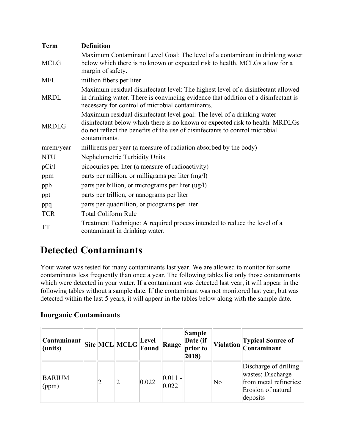| <b>Term</b>  | <b>Definition</b>                                                                                                                                                                                                                                         |
|--------------|-----------------------------------------------------------------------------------------------------------------------------------------------------------------------------------------------------------------------------------------------------------|
| <b>MCLG</b>  | Maximum Contaminant Level Goal: The level of a contaminant in drinking water<br>below which there is no known or expected risk to health. MCLGs allow for a<br>margin of safety.                                                                          |
| <b>MFL</b>   | million fibers per liter                                                                                                                                                                                                                                  |
| <b>MRDL</b>  | Maximum residual disinfectant level: The highest level of a disinfectant allowed<br>in drinking water. There is convincing evidence that addition of a disinfectant is<br>necessary for control of microbial contaminants.                                |
| <b>MRDLG</b> | Maximum residual disinfectant level goal: The level of a drinking water<br>disinfectant below which there is no known or expected risk to health. MRDLGs<br>do not reflect the benefits of the use of disinfectants to control microbial<br>contaminants. |
| mrem/year    | millirems per year (a measure of radiation absorbed by the body)                                                                                                                                                                                          |
| <b>NTU</b>   | Nephelometric Turbidity Units                                                                                                                                                                                                                             |
| pCi/1        | picocuries per liter (a measure of radioactivity)                                                                                                                                                                                                         |
| ppm          | parts per million, or milligrams per liter (mg/l)                                                                                                                                                                                                         |
| ppb          | parts per billion, or micrograms per liter (ug/l)                                                                                                                                                                                                         |
| ppt          | parts per trillion, or nanograms per liter                                                                                                                                                                                                                |
| ppq          | parts per quadrillion, or picograms per liter                                                                                                                                                                                                             |
| <b>TCR</b>   | <b>Total Coliform Rule</b>                                                                                                                                                                                                                                |
| <b>TT</b>    | Treatment Technique: A required process intended to reduce the level of a<br>contaminant in drinking water.                                                                                                                                               |

# **Detected Contaminants**

Your water was tested for many contaminants last year. We are allowed to monitor for some contaminants less frequently than once a year. The following tables list only those contaminants which were detected in your water. If a contaminant was detected last year, it will appear in the following tables without a sample date. If the contaminant was not monitored last year, but was detected within the last 5 years, it will appear in the tables below along with the sample date.

### **Inorganic Contaminants**

| <b>Constant</b>  <br>$l$ (units) |   | $\boxed{\text{Site}}\boxed{\text{MCL}}\boxed{\text{MCLG}}\boxed{\text{Level}}\text{Found}}$ |       | Range               | Sample<br>Date (if<br>prior to<br>2018) |    | Violation Typical Source of<br>Contaminant                                                             |
|----------------------------------|---|---------------------------------------------------------------------------------------------|-------|---------------------|-----------------------------------------|----|--------------------------------------------------------------------------------------------------------|
| <b>BARIUM</b><br>(ppm)           | 2 |                                                                                             | 0.022 | $ 0.011 -$<br>0.022 |                                         | No | Discharge of drilling<br>wastes; Discharge<br>from metal refineries;<br>Erosion of natural<br>deposits |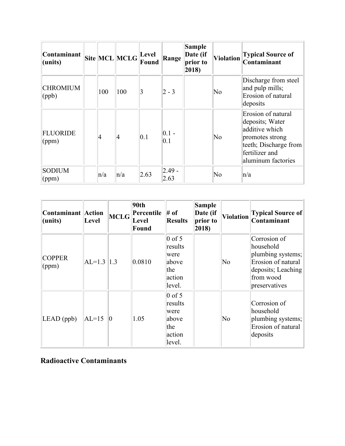| Contaminant<br>$l$ (units) |                | $\vert$ Site $\vert$ MCL $\vert$ MCLG $\vert$ Level | Found | Range             | <b>Sample</b><br>Date (if<br>prior to<br>2018) | <b>Violation</b> | <b>Typical Source of</b><br>Contaminant                                                                                                     |
|----------------------------|----------------|-----------------------------------------------------|-------|-------------------|------------------------------------------------|------------------|---------------------------------------------------------------------------------------------------------------------------------------------|
| <b>CHROMIUM</b><br>(ppb)   | 100            | 100                                                 | 3     | $ 2 - 3 $         |                                                | No               | Discharge from steel<br>and pulp mills;<br>Erosion of natural<br>deposits                                                                   |
| <b>FLUORIDE</b><br>(ppm)   | $\overline{4}$ | 4                                                   | 0.1   | $ 0.1 -$<br> 0.1  |                                                | No               | Erosion of natural<br>deposits; Water<br>additive which<br>promotes strong<br>teeth; Discharge from<br>fertilizer and<br>aluminum factories |
| <b>SODIUM</b><br>(ppm)     | n/a            | n/a                                                 | 2.63  | $ 2.49 -$<br>2.63 |                                                | No               | $\ln/a$                                                                                                                                     |

| <b>Contaminant Action</b><br>(units) | Level         |             | 90th<br>$\left\Vert \text{MCLG} \right\Vert_{\mathbf{r}}^{\text{Percentile}}$<br><b>Level</b><br>Found | $#$ of<br><b>Results</b>                                        | <b>Sample</b><br>Date (if<br>prior to<br>2018) | <b>Violation</b> | <b>Typical Source of</b><br>Contaminant                                                                                  |
|--------------------------------------|---------------|-------------|--------------------------------------------------------------------------------------------------------|-----------------------------------------------------------------|------------------------------------------------|------------------|--------------------------------------------------------------------------------------------------------------------------|
| <b>COPPER</b><br>(ppm)               | $AL=1.3$  1.3 |             | 0.0810                                                                                                 | $0$ of 5<br>results<br>were<br>above<br>the<br>action<br>level. |                                                | N <sub>0</sub>   | Corrosion of<br>household<br>plumbing systems;<br>Erosion of natural<br>deposits; Leaching<br>from wood<br>preservatives |
| $LEAD$ (ppb)                         | $AL=15$       | $ 0\rangle$ | 1.05                                                                                                   | $0$ of 5<br>results<br>were<br>above<br>the<br>action<br>level. |                                                | N <sub>0</sub>   | Corrosion of<br>household<br>plumbing systems;<br>Erosion of natural<br>deposits                                         |

### **Radioactive Contaminants**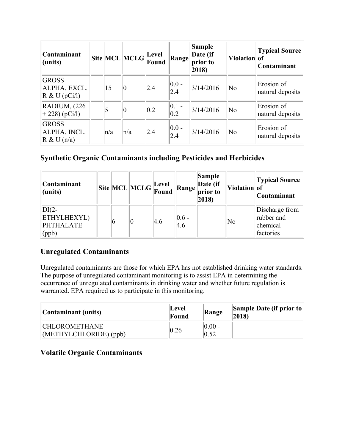| <b>Contaminant</b><br>(units)                    |     | $\ $ Site $\ $ MCL $\ $ MCLG $\ $ Eevel | Found         | Range            | <b>Sample</b><br>Date (if<br>prior to<br>2018) | Violation of        | <b>Typical Source</b><br>Contaminant |
|--------------------------------------------------|-----|-----------------------------------------|---------------|------------------|------------------------------------------------|---------------------|--------------------------------------|
| <b>GROSS</b><br>ALPHA, EXCL.<br>$R \& U (pCi/l)$ | 15  | 10                                      | 2.4           | $ 0.0 -$<br>2.4  | 3/14/2016                                      | $\overline{\rm No}$ | Erosion of<br>natural deposits       |
| <b>RADIUM, (226)</b><br>$+ 228$ ) (pCi/l)        | 5   | 10                                      | $ 0.2\rangle$ | $ 0.1 -$<br>0.2  | 3/14/2016                                      | $\overline{\rm No}$ | Erosion of<br>natural deposits       |
| <b>GROSS</b><br>ALPHA, INCL.<br>R & U(n/a)       | n/a | n/a                                     | 2.4           | $ 0.0 -$<br> 2.4 | 3/14/2016                                      | $\overline{\rm No}$ | Erosion of<br>natural deposits       |

### **Synthetic Organic Contaminants including Pesticides and Herbicides**

| Contaminant<br>$l$ (units)                                 |   | $\boxed{\text{Site}}\boxed{\text{MCL}}\boxed{\text{MCLG}}\boxed{\text{Level}}$ |     | <b>Range</b>                              | <b>Sample</b><br>Date (if<br>prior to<br>$ 2018\rangle$ | Violation of           | <b>Typical Source</b><br>Contaminant                  |
|------------------------------------------------------------|---|--------------------------------------------------------------------------------|-----|-------------------------------------------|---------------------------------------------------------|------------------------|-------------------------------------------------------|
| $DI(2-$<br><b>ETHYLHEXYL)</b><br><b>PHTHALATE</b><br>(ppb) | O |                                                                                | 4.6 | $\begin{array}{c} 0.6 \\ 4.6 \end{array}$ |                                                         | $\overline{\text{No}}$ | Discharge from<br>rubber and<br>chemical<br>factories |

### **Unregulated Contaminants**

Unregulated contaminants are those for which EPA has not established drinking water standards. The purpose of unregulated contaminant monitoring is to assist EPA in determining the occurrence of unregulated contaminants in drinking water and whether future regulation is warranted. EPA required us to participate in this monitoring.

| Contaminant (units)                            | Level<br>Found | Range             | <b>Sample Date (if prior to</b><br>2018 |
|------------------------------------------------|----------------|-------------------|-----------------------------------------|
| <b>CHLOROMETHANE</b><br>$METHYLCHLORIDE$ (ppb) | 0.26           | $ 0.00 -$<br>0.52 |                                         |

### **Volatile Organic Contaminants**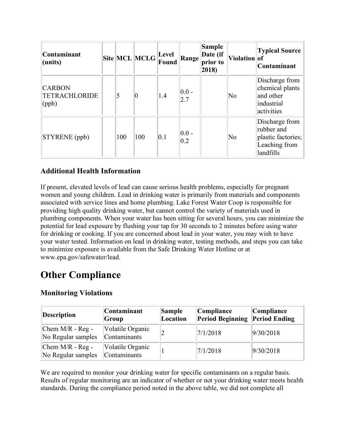| Contaminant<br>(units)                         |     | $\ \text{Site}\ \text{MCL}\ \text{MCLG}\ _{\bm{\Gamma}}^{\text{Level}}$ . | <b>Found</b> | Range                        | Sample<br>Date (if<br>prior to<br>$ 2018\rangle$ | Violation of           | <b>Typical Source</b><br>Contaminant                                             |
|------------------------------------------------|-----|---------------------------------------------------------------------------|--------------|------------------------------|--------------------------------------------------|------------------------|----------------------------------------------------------------------------------|
| <b>CARBON</b><br><b>TETRACHLORIDE</b><br>(ppb) | 5   | 0                                                                         | 1.4          | $ 0.0 -$<br> 2.7             |                                                  | No                     | Discharge from<br>chemical plants<br>and other<br>industrial<br>activities       |
| STYRENE (ppb)                                  | 100 | 100                                                                       | 0.1          | $ 0.0 -$<br>$\overline{0.2}$ |                                                  | $\overline{\text{No}}$ | Discharge from<br>rubber and<br>plastic factories;<br>Leaching from<br>landfills |

### **Additional Health Information**

If present, elevated levels of lead can cause serious health problems, especially for pregnant women and young children. Lead in drinking water is primarily from materials and components associated with service lines and home plumbing. Lake Forest Water Coop is responsible for providing high quality drinking water, but cannot control the variety of materials used in plumbing components. When your water has been sitting for several hours, you can minimize the potential for lead exposure by flushing your tap for 30 seconds to 2 minutes before using water for drinking or cooking. If you are concerned about lead in your water, you may wish to have your water tested. Information on lead in drinking water, testing methods, and steps you can take to minimize exposure is available from the Safe Drinking Water Hotline or at www.epa.gov/safewater/lead.

## **Other Compliance**

#### **Monitoring Violations**

| <b>Description</b>                       | Contaminant<br>Group             | Sample<br>Location | Compliance<br><b>Period Beginning</b> | Compliance<br><b>Period Ending</b> |
|------------------------------------------|----------------------------------|--------------------|---------------------------------------|------------------------------------|
| Chem $M/R$ - Reg -<br>No Regular samples | Volatile Organic<br>Contaminants |                    | 7/1/2018                              | 9/30/2018                          |
| Chem $M/R$ - Reg -<br>No Regular samples | Volatile Organic<br>Contaminants |                    | 7/1/2018                              | 9/30/2018                          |

We are required to monitor your drinking water for specific contaminants on a regular basis. Results of regular monitoring are an indicator of whether or not your drinking water meets health standards. During the compliance period noted in the above table, we did not complete all